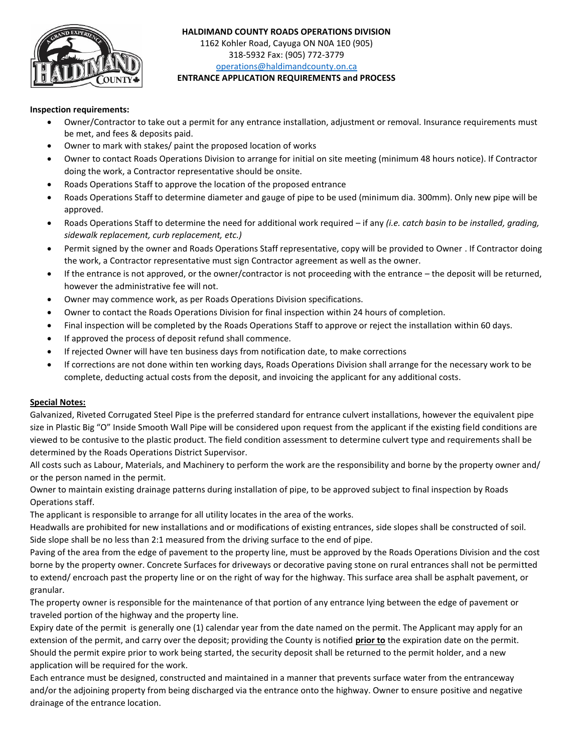

#### **HALDIMAND COUNTY ROADS OPERATIONS DIVISION**  1162 Kohler Road, Cayuga ON N0A 1E0 (905)

318-5932 Fax: (905) 772-3779 [operations@haldimandcounty.on.ca](mailto:operations@haldimandcounty.on.ca)

# **ENTRANCE APPLICATION REQUIREMENTS and PROCESS**

#### **Inspection requirements:**

- Owner/Contractor to take out a permit for any entrance installation, adjustment or removal. Insurance requirements must be met, and fees & deposits paid.
- Owner to mark with stakes/ paint the proposed location of works
- Owner to contact Roads Operations Division to arrange for initial on site meeting (minimum 48 hours notice). If Contractor doing the work, a Contractor representative should be onsite.
- Roads Operations Staff to approve the location of the proposed entrance
- Roads Operations Staff to determine diameter and gauge of pipe to be used (minimum dia. 300mm). Only new pipe will be approved.
- Roads Operations Staff to determine the need for additional work required if any *(i.e. catch basin to be installed, grading, sidewalk replacement, curb replacement, etc.)*
- Permit signed by the owner and Roads Operations Staff representative, copy will be provided to Owner . If Contractor doing the work, a Contractor representative must sign Contractor agreement as well as the owner.
- If the entrance is not approved, or the owner/contractor is not proceeding with the entrance the deposit will be returned, however the administrative fee will not.
- Owner may commence work, as per Roads Operations Division specifications.
- Owner to contact the Roads Operations Division for final inspection within 24 hours of completion.
- Final inspection will be completed by the Roads Operations Staff to approve or reject the installation within 60 days.
- If approved the process of deposit refund shall commence.
- If rejected Owner will have ten business days from notification date, to make corrections
- If corrections are not done within ten working days, Roads Operations Division shall arrange for the necessary work to be complete, deducting actual costs from the deposit, and invoicing the applicant for any additional costs.

## **Special Notes:**

Galvanized, Riveted Corrugated Steel Pipe is the preferred standard for entrance culvert installations, however the equivalent pipe size in Plastic Big "O" Inside Smooth Wall Pipe will be considered upon request from the applicant if the existing field conditions are viewed to be contusive to the plastic product. The field condition assessment to determine culvert type and requirements shall be determined by the Roads Operations District Supervisor.

All costs such as Labour, Materials, and Machinery to perform the work are the responsibility and borne by the property owner and/ or the person named in the permit.

Owner to maintain existing drainage patterns during installation of pipe, to be approved subject to final inspection by Roads Operations staff.

The applicant is responsible to arrange for all utility locates in the area of the works.

Headwalls are prohibited for new installations and or modifications of existing entrances, side slopes shall be constructed of soil. Side slope shall be no less than 2:1 measured from the driving surface to the end of pipe.

Paving of the area from the edge of pavement to the property line, must be approved by the Roads Operations Division and the cost borne by the property owner. Concrete Surfaces for driveways or decorative paving stone on rural entrances shall not be permitted to extend/ encroach past the property line or on the right of way for the highway. This surface area shall be asphalt pavement, or granular.

The property owner is responsible for the maintenance of that portion of any entrance lying between the edge of pavement or traveled portion of the highway and the property line.

Expiry date of the permit is generally one (1) calendar year from the date named on the permit. The Applicant may apply for an extension of the permit, and carry over the deposit; providing the County is notified **prior to** the expiration date on the permit. Should the permit expire prior to work being started, the security deposit shall be returned to the permit holder, and a new application will be required for the work.

Each entrance must be designed, constructed and maintained in a manner that prevents surface water from the entranceway and/or the adjoining property from being discharged via the entrance onto the highway. Owner to ensure positive and negative drainage of the entrance location.